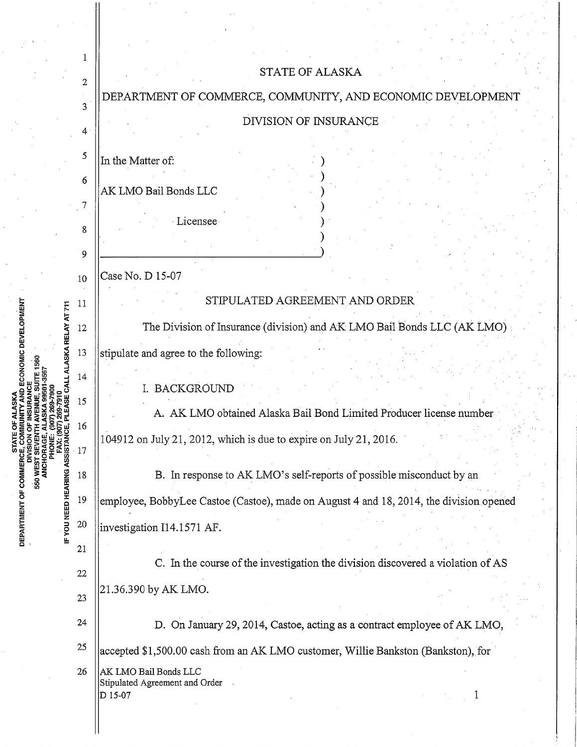|                                                                                                                       | 1      |                                                                                        |
|-----------------------------------------------------------------------------------------------------------------------|--------|----------------------------------------------------------------------------------------|
|                                                                                                                       | 2      | <b>STATE OF ALASKA</b>                                                                 |
|                                                                                                                       | 3      | DEPARTMENT OF COMMERCE, COMMUNITY, AND ECONOMIC DEVELOPMENT                            |
|                                                                                                                       |        | DIVISION OF INSURANCE                                                                  |
| C DEVELOPMENT<br>RELAY AT 711<br><b>SKA</b><br>ASSISTANCE<br><b>COMM</b><br>FYOU NEED HEARING<br><b>DEPARTMENT OF</b> | 4      |                                                                                        |
|                                                                                                                       | 5      | In the Matter of:                                                                      |
|                                                                                                                       | 6      |                                                                                        |
|                                                                                                                       |        | AK LMO Bail Bonds LLC                                                                  |
|                                                                                                                       |        | Licensee                                                                               |
|                                                                                                                       | 8      |                                                                                        |
|                                                                                                                       | 9      |                                                                                        |
|                                                                                                                       |        | Case No. D 15-07                                                                       |
|                                                                                                                       | 10     |                                                                                        |
|                                                                                                                       | 11     | STIPULATED AGREEMENT AND ORDER                                                         |
|                                                                                                                       | 12     | The Division of Insurance (division) and AK LMO Bail Bonds LLC (AK LMO)                |
|                                                                                                                       | 13     | stipulate and agree to the following:                                                  |
|                                                                                                                       | 14     |                                                                                        |
|                                                                                                                       |        | I. BACKGROUND                                                                          |
|                                                                                                                       | 15     | A. AK LMO obtained Alaska Bail Bond Limited Producer license number                    |
|                                                                                                                       | 10     | $104912$ on July 21, 2012, which is due to expire on July 21, 2016.                    |
|                                                                                                                       | 17     |                                                                                        |
|                                                                                                                       | 18     | B. In response to AK LMO's self-reports of possible misconduct by an                   |
|                                                                                                                       | 19     | employee, BobbyLee Castoe (Castoe), made on August 4 and 18, 2014, the division opened |
|                                                                                                                       | $20\,$ | investigation I14.1571 AF.                                                             |
|                                                                                                                       | 21     |                                                                                        |
|                                                                                                                       | 22     | C. In the course of the investigation the division discovered a violation of AS        |
|                                                                                                                       |        | 21.36.390 by AK LMO.                                                                   |
|                                                                                                                       | 23     |                                                                                        |
|                                                                                                                       | 24     | D. On January 29, 2014, Castoe, acting as a contract employee of AK LMO,               |
|                                                                                                                       | 25     | accepted \$1,500.00 cash from an AK LMO customer, Willie Bankston (Bankston), for      |
|                                                                                                                       | 26     | AK LMO Bail Bonds LLC                                                                  |
|                                                                                                                       |        | Stipulated Agreement and Order<br>D 15-07                                              |
|                                                                                                                       |        |                                                                                        |
|                                                                                                                       |        |                                                                                        |

 $\frac{1}{2}$ 

 $\frac{1}{2}$ 

 $\frac{1}{2}$ 

 $\hat{\boldsymbol{\beta}}$ Ŷ,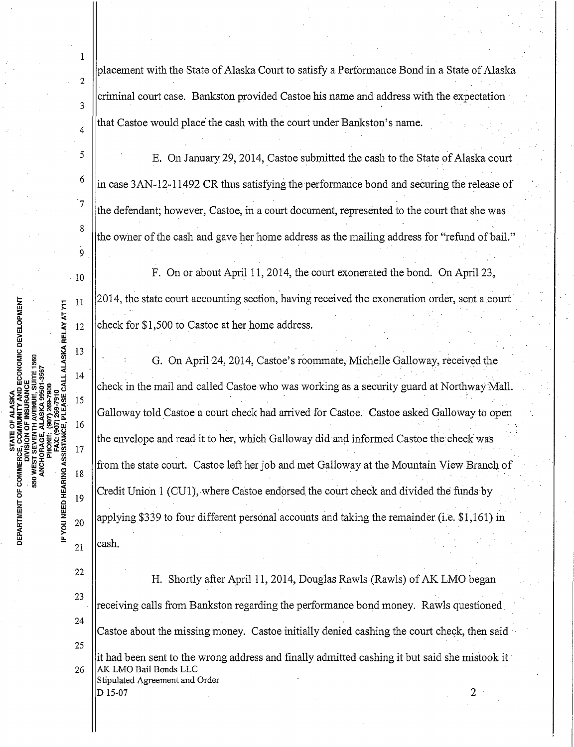1 placement with the State of Alaska Court to satisfy a Performance Bond in a State of Alaska 2 criminal court case. Bankston provided Castoe his name and address with the expectation 3 that Castoe would place the cash with the court under Bankston's name. 4 <sup>5</sup> S E. On January 29, 2014, Castoe submitted the cash to the State of Alaska court  $\frac{6}{1}$  in case 3AN-12-11492 CR thus satisfying the performance bond and securing the release of <sup>7</sup>  $\parallel$  the defendant; however, Castoe, in a court document, represented to the court that she was 8 the owner of the cash and gave her home address as the mailing address for "refund of bail." 9  $\begin{bmatrix} 10 \end{bmatrix}$  F. On or about April 11, 2014, the court exonerated the bond. On April 23, 2014, the state court accounting section, having received the exoneration order, sent a court 11 IF YOU NEED HEARING ASSISTANCE, PLEASE CALL ALASKA RELAY AT 711 check for \$1,500 to Castoe at her home address.  $12$ 13 . . G. On April 24, 2014, Castoe's roommate, Michelle Galloway, received the 14 check in the mail and called Castoe who was working as a security guard at Northway Mall. 15 Galloway told Castoe a court check had arrived for Castoe. Castoe asked Galloway to open. 16 the envelope and read it to her, which Galloway did and informed Castoe the check was 17 from the state court. Castoe left her job and met Galloway at the Mountain View Branch of 18 Credit Union 1 (CU1), where Castoe endorsed the court check and divided the funds by 19 . . applying \$339 to four different personal accounts and taking the remainder (i.e. \$1,161) in 20 cash. 21 22 H. Shortly after April 11, 2014, Douglas Rawls (Rawls) of AK LMO began . 23 receiving calls from Bankston regarding the performance bond money. Rawls questioned. 24 Castoe about the missing money. Castoe initially denied cashing the court check, then said 25 it had been sent to the wrong address and finally admitted cashing it but said she mistook it · 26 | AK LMO Bail Bonds LLC Stipulated Agreement and Order D 15-07 2

ATL OF ALANOM<br>COMMUNITY AND ECONOMIC DEVELOPMENT<br>ON OF INSURANCE DEPARTMENT OF COMMERC 550 WEST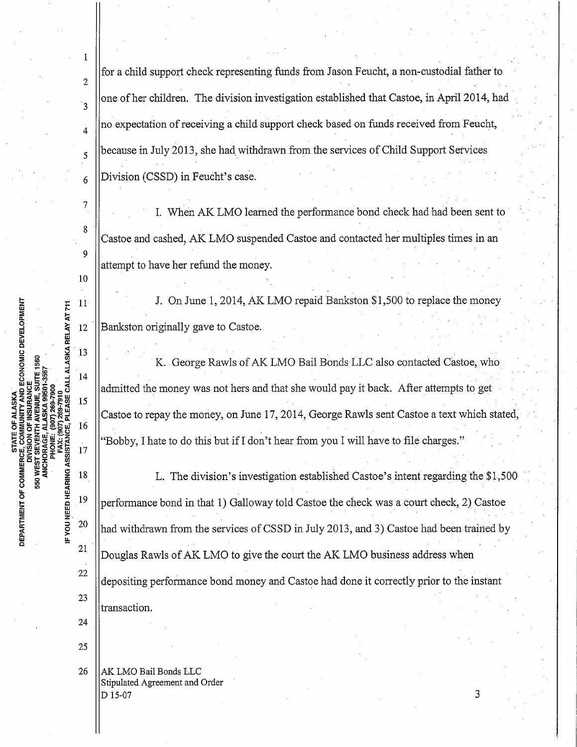for a child support check representing funds from Jason Feucht, a non-custodial father to 2  $\overline{3}$ one of her children. The division investigation established that Castoe, in April 2014, had 4 no expectation ofreceiving a child support check based on funds received from Feucht,  $\lesssim$  | because in July 2013, she had withdrawn from the services of Child Support Services  $6$  |Division (CSSD) in Feucht's case.  $\begin{array}{c|c|c|c|c} \hline 7 & \text{II.} \end{array}$  When AK LMO learned the performance bond check had had been sent to 8 Castoe and cashed, AK LMO suspended Castoe and contacted her multiples times in an 9 attempt to have her refund the money. 10 Example 1, 11 J. On June 1, 2014, AK LMO repaid Bankston \$1,500 to replace the money  $\frac{1}{2}$ <br>  $\frac{1}{2}$ <br>  $\frac{1}{2}$ <br>  $\frac{1}{2}$ <br>  $\frac{1}{2}$ <br>  $\frac{1}{2}$ <br>  $\frac{1}{2}$ <br>  $\frac{1}{2}$ <br>  $\frac{1}{2}$ <br>  $\frac{1}{2}$ <br>  $\frac{1}{2}$ <br>  $\frac{1}{2}$ <br>  $\frac{$ 4 ا⊖ 12 **Bankston originally gave to Castoe.** 14 K. George Rawls of AK LMO Bail Bonds LLC also contacted Castoe, who  $\frac{1}{2}$   $\frac{1}{2}$   $\frac{1}{2}$   $\frac{1}{2}$   $\frac{1}{2}$   $\frac{1}{2}$   $\frac{1}{2}$   $\frac{1}{2}$   $\frac{1}{2}$   $\frac{1}{2}$   $\frac{1}{2}$   $\frac{1}{2}$   $\frac{1}{2}$   $\frac{1}{2}$   $\frac{1}{2}$   $\frac{1}{2}$   $\frac{1}{2}$   $\frac{1}{2}$   $\frac{1}{2}$   $\frac{1}{2}$   $\frac{1}{2}$   $\frac{1}{2}$   $\frac{1}{16}$  Castoe to repay the money, on June 17, 2014, George Rawls sent Castoe a text which stated,  $\frac{1}{16}$  $^{17}$  "Bobby, I hate to do this but if I don't hear from you I will have to file charges."  $\vert$  18  $\vert$  L. The division's investigation established Castoe's intent regarding the \$1,500 <sup>19</sup>  $\parallel$  performance bond in that 1) Galloway told Castoe the check was a court check, 2) Castoe <sup>20</sup>  $\|$ had withdrawn from the services of CSSD in July 2013, and 3) Castoe had been trained by  $21$ Douglas Rawls of AK LMO to give the court the AK LMO business address when 22 depositing perfonnance bond money and Castoe had done it correctly prior to the instant 23 transaction. 24 25 26 | AK LMO Bail Bonds LLC Stipulated Agreement and Order D 15-07 3

 $\frac{a}{2}$   $\frac{a}{2}$   $\frac{13}{2}$  $\sim$   $\sim$   $\sim$   $\sim$   $\sim$  $\stackrel{0}{\scriptscriptstyle{\text{N}}}$  "E  $\stackrel{1}{\scriptscriptstyle{\text{R}}}$  .  $\stackrel{1}{\scriptscriptstyle{\text{S}}}$ *rJ)* <( a: :::> Cl a. Cl *rJ)* 15 <C!:=>Z;;:i~~~ *rJ) <br>
<i>r*<br> *PINSISE CII A:C CII A:C CII A:C CII A:C CII A:C CII A:C CII A:C CII A:C CII A:C CII A:C CII A:C CII A:C CII A:C CII A:C CII A:C CII A:C CII A:C CII A:C CII A:C CII A:C CII A:C CII A:C CII A:C CII A:C CII A:* ::i! z.

1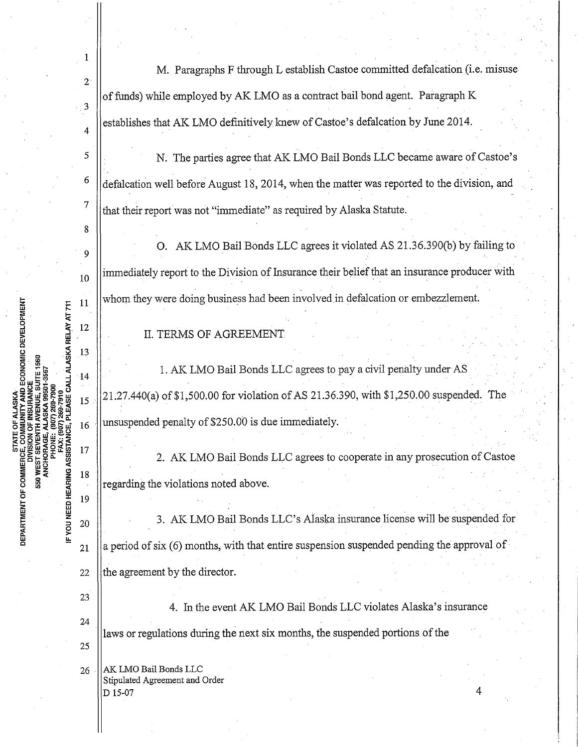1 M. Paragraphs F through L establish Castoe committed defalcation (i.e. misuse 2 of funds) while employed by AK LMO as a contract bail bond agent. Paragraph K .3 establishes that AK LMO definitivelyknew of Castoe's defalcation by June 2014. 4 <sup>5</sup> | N. The parties agree that AK LMO Bail Bonds LLC became aware of Castoe's  $\frac{6}{10}$  defalcation well before August 18, 2014, when the matter was reported to the division, and  $\frac{7}{1}$  that their report was not "immediate" as required by Alaska Statute. 8 O. AK LMO Bail Bonds LLC agrees it violated AS 21.36.390(b) by failing to 9  $\frac{1}{10}$  ||immediately report to the Division of Insurance their belief that an insurance producer with whom they were doing business had been involved in defalcation or embezzlement. 11 FAX: (907) 269-7910<br>IF YOU NEED HEARING ASSISTANCE, PLEASE CALL ALASKA RELAY AT 711 12 II. TERMS OF AGREEMENT 13 1. AK. LMO Bail Bonds LLC agrees to pay a civil penalty under AS  $14$  $\|15\|$  21.27.440(a) of \$1,500.00 for violation of AS 21.36.390, with \$1,250.00 suspended. The unsuspended penalty of \$250.0b is due immediately. 16 17 2. AK LMO Bail Bonds LLC agrees to cooperate in any prosecution of Castoe 18 regarding the violations noted above. 19 3. AK LMO Bail Bonds LLC's Alaska insurance license will be suspended for 20 a period of six (6) months, with that entire suspension suspended pending the approval of 21 22  $\theta$  the agreement by the director. 23 4. In the event AK LMO Bail Bonds LLC violates Alaska's insurance 24 laws or regulations during the next six months, the suspended portions of the 25 26 | AK LMO Bail Bonds LLC Stipulated Agreement and Order  $D$  15-07 4

MUNITY AND ECONOMIC DEVELOPMENT

DEPARTMENT OF COMMERCE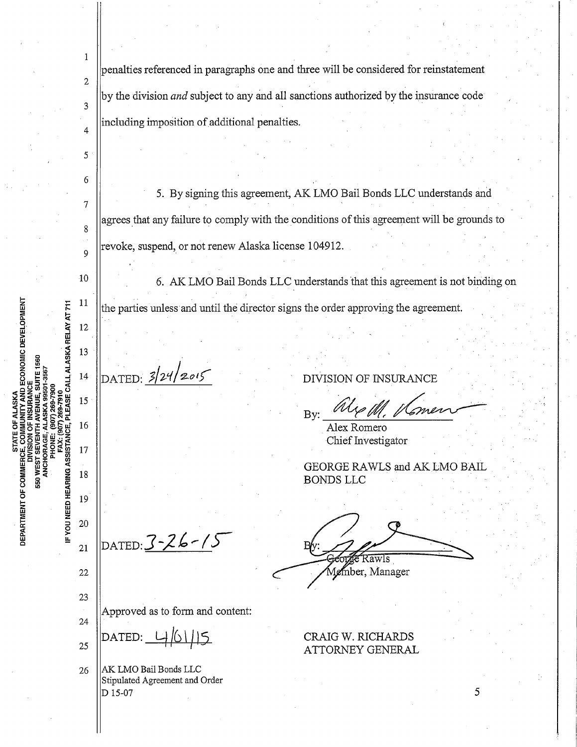$\mathbf{1}$ penalties referenced in paragraphs one and three will be considered for reinstatement 2 by the division *and* subject to any and all sanctions authorized by the insurance code 3 including imposition of additional penalties. 4 5 6 5. By signing this agreement, AK LMO Bail Bonds LLC understands and 7 agrees that any failure to comply with the conditions of this agreement will be grounds to 8 revoke, suspend, or not renew Alaska license 104912.  $\mathsf{o}$  $\overline{10}$ 6. AK LMO Bail Bonds LLC understands 'that this agreement is not binding on 11 PLEASE CALL ALASKA-RELAY AT 711 the parties unless and until the director signs the order approving the agreement.  $12$ 13 DATED:  $3/24/2015$ 14 DIVISION OF INSURANCE 15 By: 16 Alex Romero IF YOU NEED HEARING ASSISTANC Chief Investigator 17 GEORGE RAWLS and AK LMO BAIL 18 BONDS LLC 19 20 DATED:J-J. *b* ,,\_ *(* )'  $21$ 22 mber, Manager 23 Approved as to form and content: 24 CRAIG W. RICHARDS  $15$ DATED: 25 ATTORNEY GENERAL 26 | AK LMO Bail Bonds LLC Stipulated Agreement and Order D 15-07  $\sim$  5

AND ECONOMIC DEVELOPMENT

DEPARTMENT OF COMMERC

550 WEST